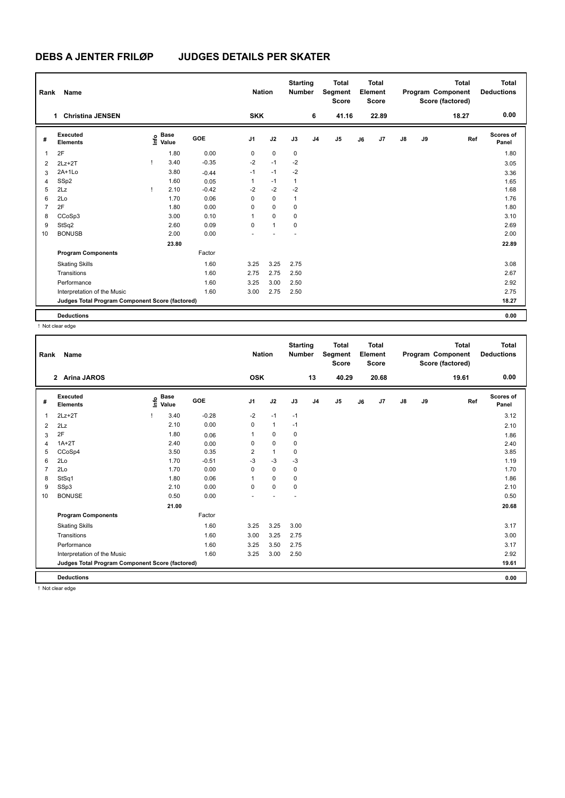| Rank           | Name                                            | <b>Nation</b> |                      | <b>Starting</b><br><b>Number</b> |                | <b>Total</b><br>Segment<br><b>Score</b> |              | Total<br>Element<br><b>Score</b> |                |    | <b>Total</b><br>Program Component<br>Score (factored) | <b>Total</b><br><b>Deductions</b> |    |       |                    |
|----------------|-------------------------------------------------|---------------|----------------------|----------------------------------|----------------|-----------------------------------------|--------------|----------------------------------|----------------|----|-------------------------------------------------------|-----------------------------------|----|-------|--------------------|
|                | <b>Christina JENSEN</b><br>1                    |               |                      |                                  | <b>SKK</b>     |                                         |              | 6                                | 41.16          |    | 22.89                                                 |                                   |    | 18.27 | 0.00               |
| #              | <b>Executed</b><br><b>Elements</b>              | ١nf٥          | <b>Base</b><br>Value | GOE                              | J <sub>1</sub> | J2                                      | J3           | J <sub>4</sub>                   | J <sub>5</sub> | J6 | J7                                                    | $\mathsf{J}8$                     | J9 | Ref   | Scores of<br>Panel |
| 1              | 2F                                              |               | 1.80                 | 0.00                             | 0              | $\mathbf 0$                             | 0            |                                  |                |    |                                                       |                                   |    |       | 1.80               |
| 2              | $2Lz+2T$                                        |               | 3.40                 | $-0.35$                          | $-2$           | $-1$                                    | $-2$         |                                  |                |    |                                                       |                                   |    |       | 3.05               |
| 3              | $2A+1L0$                                        |               | 3.80                 | $-0.44$                          | $-1$           | $-1$                                    | $-2$         |                                  |                |    |                                                       |                                   |    |       | 3.36               |
| 4              | SSp2                                            |               | 1.60                 | 0.05                             | 1              | $-1$                                    | 1            |                                  |                |    |                                                       |                                   |    |       | 1.65               |
| 5              | 2Lz                                             |               | 2.10                 | $-0.42$                          | $-2$           | $-2$                                    | $-2$         |                                  |                |    |                                                       |                                   |    |       | 1.68               |
| 6              | 2Lo                                             |               | 1.70                 | 0.06                             | 0              | $\mathbf 0$                             | $\mathbf{1}$ |                                  |                |    |                                                       |                                   |    |       | 1.76               |
| $\overline{7}$ | 2F                                              |               | 1.80                 | 0.00                             | 0              | $\mathbf 0$                             | 0            |                                  |                |    |                                                       |                                   |    |       | 1.80               |
| 8              | CCoSp3                                          |               | 3.00                 | 0.10                             | 1              | 0                                       | 0            |                                  |                |    |                                                       |                                   |    |       | 3.10               |
| 9              | StSq2                                           |               | 2.60                 | 0.09                             | 0              | $\mathbf{1}$                            | 0            |                                  |                |    |                                                       |                                   |    |       | 2.69               |
| 10             | <b>BONUSB</b>                                   |               | 2.00                 | 0.00                             |                |                                         |              |                                  |                |    |                                                       |                                   |    |       | 2.00               |
|                |                                                 |               | 23.80                |                                  |                |                                         |              |                                  |                |    |                                                       |                                   |    |       | 22.89              |
|                | <b>Program Components</b>                       |               |                      | Factor                           |                |                                         |              |                                  |                |    |                                                       |                                   |    |       |                    |
|                | <b>Skating Skills</b>                           |               |                      | 1.60                             | 3.25           | 3.25                                    | 2.75         |                                  |                |    |                                                       |                                   |    |       | 3.08               |
|                | Transitions                                     |               |                      | 1.60                             | 2.75           | 2.75                                    | 2.50         |                                  |                |    |                                                       |                                   |    |       | 2.67               |
|                | Performance                                     |               |                      | 1.60                             | 3.25           | 3.00                                    | 2.50         |                                  |                |    |                                                       |                                   |    |       | 2.92               |
|                | Interpretation of the Music                     |               |                      | 1.60                             | 3.00           | 2.75                                    | 2.50         |                                  |                |    |                                                       |                                   |    |       | 2.75               |
|                | Judges Total Program Component Score (factored) |               |                      |                                  |                |                                         |              |                                  |                |    |                                                       |                                   |    |       | 18.27              |
|                | <b>Deductions</b>                               |               |                      |                                  |                |                                         |              |                                  |                |    |                                                       |                                   |    |       | 0.00               |

! Not clear edge

| Rank           | <b>Name</b>                                     |                                  |         | <b>Nation</b>  |              | <b>Starting</b><br><b>Number</b> |                | <b>Total</b><br>Segment<br><b>Score</b> |    | Total<br>Element<br><b>Score</b> |               |    | <b>Total</b><br>Program Component<br>Score (factored) | <b>Total</b><br><b>Deductions</b> |
|----------------|-------------------------------------------------|----------------------------------|---------|----------------|--------------|----------------------------------|----------------|-----------------------------------------|----|----------------------------------|---------------|----|-------------------------------------------------------|-----------------------------------|
|                | <b>Arina JAROS</b><br>$2^{\circ}$               |                                  |         | <b>OSK</b>     |              |                                  | 13             | 40.29                                   |    | 20.68                            |               |    | 19.61                                                 | 0.00                              |
| #              | Executed<br><b>Elements</b>                     | <b>Base</b><br>e Base<br>⊆ Value | GOE     | J <sub>1</sub> | J2           | J3                               | J <sub>4</sub> | J <sub>5</sub>                          | J6 | J7                               | $\mathsf{J}8$ | J9 | Ref                                                   | <b>Scores of</b><br>Panel         |
| 1              | $2Lz+2T$                                        | 3.40                             | $-0.28$ | $-2$           | $-1$         | $-1$                             |                |                                         |    |                                  |               |    |                                                       | 3.12                              |
| 2              | 2Lz                                             | 2.10                             | 0.00    | 0              | $\mathbf{1}$ | $-1$                             |                |                                         |    |                                  |               |    |                                                       | 2.10                              |
| 3              | 2F                                              | 1.80                             | 0.06    | $\mathbf{1}$   | $\mathbf 0$  | 0                                |                |                                         |    |                                  |               |    |                                                       | 1.86                              |
| 4              | $1A+2T$                                         | 2.40                             | 0.00    | 0              | $\mathbf 0$  | 0                                |                |                                         |    |                                  |               |    |                                                       | 2.40                              |
| 5              | CCoSp4                                          | 3.50                             | 0.35    | $\overline{2}$ | $\mathbf{1}$ | 0                                |                |                                         |    |                                  |               |    |                                                       | 3.85                              |
| 6              | 2Lo                                             | 1.70                             | $-0.51$ | $-3$           | $-3$         | -3                               |                |                                         |    |                                  |               |    |                                                       | 1.19                              |
| $\overline{7}$ | 2Lo                                             | 1.70                             | 0.00    | 0              | $\mathbf 0$  | $\mathbf 0$                      |                |                                         |    |                                  |               |    |                                                       | 1.70                              |
| 8              | StSq1                                           | 1.80                             | 0.06    | $\mathbf{1}$   | 0            | 0                                |                |                                         |    |                                  |               |    |                                                       | 1.86                              |
| 9              | SSp3                                            | 2.10                             | 0.00    | $\Omega$       | $\mathbf 0$  | $\mathbf 0$                      |                |                                         |    |                                  |               |    |                                                       | 2.10                              |
| 10             | <b>BONUSE</b>                                   | 0.50                             | 0.00    |                |              |                                  |                |                                         |    |                                  |               |    |                                                       | 0.50                              |
|                |                                                 | 21.00                            |         |                |              |                                  |                |                                         |    |                                  |               |    |                                                       | 20.68                             |
|                | <b>Program Components</b>                       |                                  | Factor  |                |              |                                  |                |                                         |    |                                  |               |    |                                                       |                                   |
|                | <b>Skating Skills</b>                           |                                  | 1.60    | 3.25           | 3.25         | 3.00                             |                |                                         |    |                                  |               |    |                                                       | 3.17                              |
|                | Transitions                                     |                                  | 1.60    | 3.00           | 3.25         | 2.75                             |                |                                         |    |                                  |               |    |                                                       | 3.00                              |
|                | Performance                                     |                                  | 1.60    | 3.25           | 3.50         | 2.75                             |                |                                         |    |                                  |               |    |                                                       | 3.17                              |
|                | Interpretation of the Music                     |                                  | 1.60    | 3.25           | 3.00         | 2.50                             |                |                                         |    |                                  |               |    |                                                       | 2.92                              |
|                | Judges Total Program Component Score (factored) |                                  |         |                |              |                                  |                |                                         |    |                                  |               |    |                                                       | 19.61                             |
|                | <b>Deductions</b>                               |                                  |         |                |              |                                  |                |                                         |    |                                  |               |    |                                                       | 0.00                              |

! Not clear edge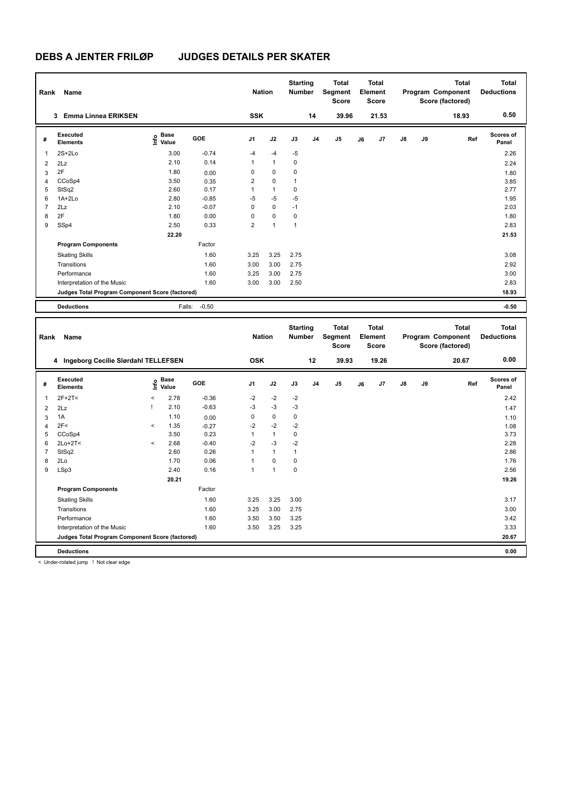| Rank           | Name                                            |                                         |         | <b>Nation</b>  |              | <b>Starting</b><br>Number        |                | Total<br>Segment<br>Score               |    | <b>Total</b><br>Element<br>Score        |    |    | <b>Total</b><br>Program Component<br>Score (factored) | <b>Total</b><br><b>Deductions</b> |
|----------------|-------------------------------------------------|-----------------------------------------|---------|----------------|--------------|----------------------------------|----------------|-----------------------------------------|----|-----------------------------------------|----|----|-------------------------------------------------------|-----------------------------------|
|                | 3 Emma Linnea ERIKSEN                           |                                         |         | <b>SSK</b>     |              |                                  | 14             | 39.96                                   |    | 21.53                                   |    |    | 18.93                                                 | 0.50                              |
| #              | <b>Executed</b><br><b>Elements</b>              | $\mathsf{E}$ Base<br>$\mathsf{E}$ Value | GOE     | J1             | J2           | J3                               | J4             | J5                                      | J6 | J <sub>7</sub>                          | J8 | J9 | Ref                                                   | Scores of<br>Panel                |
| $\mathbf{1}$   | $2S+2Lo$                                        | 3.00                                    | $-0.74$ | $-4$           | $-4$         | $-5$                             |                |                                         |    |                                         |    |    |                                                       | 2.26                              |
| $\overline{2}$ | 2Lz                                             | 2.10                                    | 0.14    | 1              | $\mathbf{1}$ | $\mathbf 0$                      |                |                                         |    |                                         |    |    |                                                       | 2.24                              |
| $\mathbf{3}$   | 2F                                              | 1.80                                    | 0.00    | $\mathbf 0$    | $\mathbf 0$  | $\mathbf 0$                      |                |                                         |    |                                         |    |    |                                                       | 1.80                              |
| $\overline{4}$ | CCoSp4                                          | 3.50                                    | 0.35    | $\overline{2}$ | $\mathbf 0$  | $\mathbf{1}$                     |                |                                         |    |                                         |    |    |                                                       | 3.85                              |
| 5              | StSq2                                           | 2.60                                    | 0.17    | $\mathbf{1}$   | $\mathbf{1}$ | $\pmb{0}$                        |                |                                         |    |                                         |    |    |                                                       | 2.77                              |
| 6              | 1A+2Lo                                          | 2.80                                    | $-0.85$ | $-5$           | $-5$         | $-5$                             |                |                                         |    |                                         |    |    |                                                       | 1.95                              |
| $\overline{7}$ | 2Lz                                             | 2.10                                    | $-0.07$ | $\mathbf 0$    | $\mathbf 0$  | $-1$                             |                |                                         |    |                                         |    |    |                                                       | 2.03                              |
| 8              | 2F                                              | 1.80                                    | 0.00    | $\pmb{0}$      | $\pmb{0}$    | $\pmb{0}$                        |                |                                         |    |                                         |    |    |                                                       | 1.80                              |
| 9              | SSp4                                            | 2.50                                    | 0.33    | $\overline{2}$ | $\mathbf{1}$ | $\mathbf{1}$                     |                |                                         |    |                                         |    |    |                                                       | 2.83                              |
|                |                                                 | 22.20                                   |         |                |              |                                  |                |                                         |    |                                         |    |    |                                                       | 21.53                             |
|                | <b>Program Components</b>                       |                                         | Factor  |                |              |                                  |                |                                         |    |                                         |    |    |                                                       |                                   |
|                | <b>Skating Skills</b>                           |                                         | 1.60    | 3.25           | 3.25         | 2.75                             |                |                                         |    |                                         |    |    |                                                       | 3.08                              |
|                | Transitions                                     |                                         | 1.60    | 3.00           | 3.00         | 2.75                             |                |                                         |    |                                         |    |    |                                                       | 2.92                              |
|                | Performance                                     |                                         | 1.60    | 3.25           | 3.00         | 2.75                             |                |                                         |    |                                         |    |    |                                                       | 3.00                              |
|                | Interpretation of the Music                     |                                         | 1.60    | 3.00           | 3.00         | 2.50                             |                |                                         |    |                                         |    |    |                                                       | 2.83                              |
|                | Judges Total Program Component Score (factored) |                                         |         |                |              |                                  |                |                                         |    |                                         |    |    |                                                       | 18.93                             |
|                | <b>Deductions</b>                               | Falls:                                  | $-0.50$ |                |              |                                  |                |                                         |    |                                         |    |    |                                                       | $-0.50$                           |
|                |                                                 |                                         |         |                |              |                                  |                |                                         |    |                                         |    |    |                                                       |                                   |
| Rank           | Name                                            |                                         |         | <b>Nation</b>  |              | <b>Starting</b><br><b>Number</b> |                | <b>Total</b><br>Segment<br><b>Score</b> |    | <b>Total</b><br>Element<br><b>Score</b> |    |    | <b>Total</b><br>Program Component<br>Score (factored) | <b>Total</b><br><b>Deductions</b> |
|                | 4 Ingeborg Cecilie Slørdahl TELLEFSEN           |                                         |         | <b>OSK</b>     |              |                                  | 12             | 39.93                                   |    | 19.26                                   |    |    | 20.67                                                 | 0.00                              |
| #              | <b>Executed</b><br><b>Elements</b>              | Base<br>e Base<br>⊆ Value               | GOE     | J1             | J2           | J3                               | J <sub>4</sub> | J5                                      | J6 | J7                                      | J8 | J9 | Ref                                                   | Scores of<br>Panel                |
| $\mathbf{1}$   | $2F+2T<$                                        | $\,<$<br>2.78                           | $-0.36$ | $-2$           | $-2$         | $-2$                             |                |                                         |    |                                         |    |    |                                                       | 2.42                              |
| $\overline{2}$ | 2Lz                                             | 2.10<br>Ţ                               | $-0.63$ | -3             | $-3$         | $-3$                             |                |                                         |    |                                         |    |    |                                                       | 1.47                              |
| 3              | 1A                                              | 1.10                                    | 0.00    | $\mathbf 0$    | $\pmb{0}$    | $\pmb{0}$                        |                |                                         |    |                                         |    |    |                                                       | 1.10                              |
| $\overline{4}$ | 2F<                                             | 1.35<br>$\,<$                           | $-0.27$ | $-2$           | $-2$         | $-2$                             |                |                                         |    |                                         |    |    |                                                       | 1.08                              |
| 5              | CCoSp4                                          | 3.50                                    | 0.23    | $\mathbf{1}$   | $\mathbf{1}$ | $\pmb{0}$                        |                |                                         |    |                                         |    |    |                                                       | 3.73                              |
| 6              | 2Lo+2T<                                         | $\overline{\phantom{a}}$<br>2.68        | $-0.40$ | $-2$           | $-3$         | $-2$                             |                |                                         |    |                                         |    |    |                                                       | 2.28                              |
| $\overline{7}$ | StSq2                                           | 2.60                                    | 0.26    | $\mathbf{1}$   | $\mathbf{1}$ | $\mathbf{1}$                     |                |                                         |    |                                         |    |    |                                                       | 2.86                              |
| 8              | 2Lo                                             | 1.70                                    | 0.06    | $\mathbf{1}$   | $\pmb{0}$    | $\pmb{0}$                        |                |                                         |    |                                         |    |    |                                                       | 1.76                              |
| 9              | LSp3                                            | 2.40                                    | 0.16    | $\mathbf{1}$   | $\mathbf{1}$ | $\mathbf 0$                      |                |                                         |    |                                         |    |    |                                                       | 2.56                              |
|                |                                                 | 20.21                                   |         |                |              |                                  |                |                                         |    |                                         |    |    |                                                       | 19.26                             |
|                | <b>Program Components</b>                       |                                         | Factor  |                |              |                                  |                |                                         |    |                                         |    |    |                                                       |                                   |
|                | <b>Skating Skills</b>                           |                                         | 1.60    | 3.25           | 3.25         | 3.00                             |                |                                         |    |                                         |    |    |                                                       | 3.17                              |
|                | Transitions                                     |                                         | 1.60    | 3.25           | 3.00         | 2.75                             |                |                                         |    |                                         |    |    |                                                       | 3.00                              |
|                | Performance                                     |                                         | 1.60    | 3.50           | 3.50         | 3.25                             |                |                                         |    |                                         |    |    |                                                       | 3.42                              |
|                | Interpretation of the Music                     |                                         | 1.60    | 3.50           | 3.25         | 3.25                             |                |                                         |    |                                         |    |    |                                                       | 3.33                              |
|                | Judges Total Program Component Score (factored) |                                         |         |                |              |                                  |                |                                         |    |                                         |    |    |                                                       | 20.67                             |

< Under-rotated jump ! Not clear edge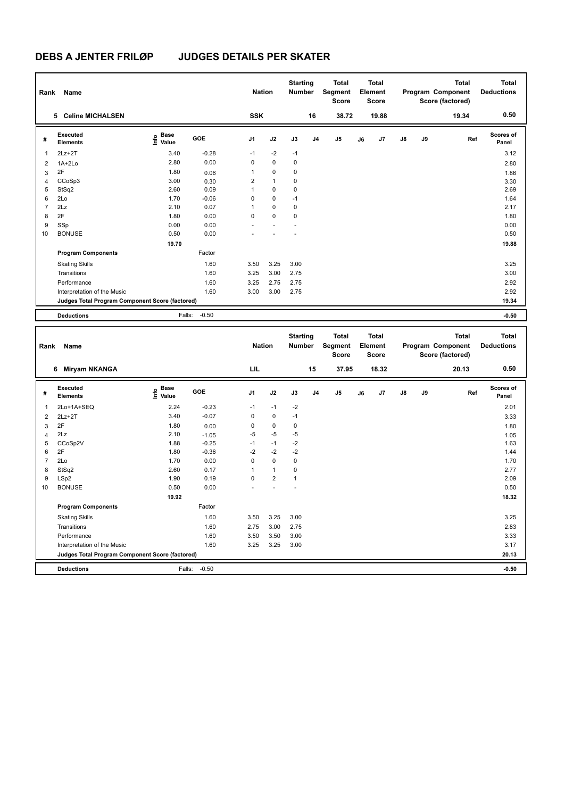| Rank           | Name                                            |                                             |         | <b>Nation</b>  |              | <b>Starting</b><br><b>Number</b> |                | <b>Total</b><br>Segment<br><b>Score</b> |    | <b>Total</b><br>Element<br>Score |    |    | <b>Total</b><br>Program Component<br>Score (factored) | <b>Total</b><br><b>Deductions</b> |
|----------------|-------------------------------------------------|---------------------------------------------|---------|----------------|--------------|----------------------------------|----------------|-----------------------------------------|----|----------------------------------|----|----|-------------------------------------------------------|-----------------------------------|
|                | 5 Celine MICHALSEN                              |                                             |         | <b>SSK</b>     |              |                                  | 16             | 38.72                                   |    | 19.88                            |    |    | 19.34                                                 | 0.50                              |
| #              | Executed<br><b>Elements</b>                     | <b>Base</b><br>e <sup>Base</sup><br>⊆ Value | GOE     | J <sub>1</sub> | J2           | J3                               | J <sub>4</sub> | J <sub>5</sub>                          | J6 | J7                               | J8 | J9 | Ref                                                   | <b>Scores of</b><br>Panel         |
| 1              | $2Lz + 2T$                                      | 3.40                                        | $-0.28$ | $-1$           | $-2$         | $-1$                             |                |                                         |    |                                  |    |    |                                                       | 3.12                              |
| 2              | $1A+2Lo$                                        | 2.80                                        | 0.00    | 0              | $\mathbf 0$  | 0                                |                |                                         |    |                                  |    |    |                                                       | 2.80                              |
| 3              | 2F                                              | 1.80                                        | 0.06    | 1              | 0            | 0                                |                |                                         |    |                                  |    |    |                                                       | 1.86                              |
| $\overline{4}$ | CCoSp3                                          | 3.00                                        | 0.30    | $\overline{2}$ | $\mathbf{1}$ | 0                                |                |                                         |    |                                  |    |    |                                                       | 3.30                              |
| 5              | StSq2                                           | 2.60                                        | 0.09    |                | 0            | 0                                |                |                                         |    |                                  |    |    |                                                       | 2.69                              |
| 6              | 2Lo                                             | 1.70                                        | $-0.06$ | 0              | 0            | $-1$                             |                |                                         |    |                                  |    |    |                                                       | 1.64                              |
| $\overline{7}$ | 2Lz                                             | 2.10                                        | 0.07    | 1              | 0            | 0                                |                |                                         |    |                                  |    |    |                                                       | 2.17                              |
| 8              | 2F                                              | 1.80                                        | 0.00    | $\Omega$       | $\Omega$     | 0                                |                |                                         |    |                                  |    |    |                                                       | 1.80                              |
| 9              | SSp                                             | 0.00                                        | 0.00    |                |              |                                  |                |                                         |    |                                  |    |    |                                                       | 0.00                              |
| 10             | <b>BONUSE</b>                                   | 0.50                                        | 0.00    |                |              |                                  |                |                                         |    |                                  |    |    |                                                       | 0.50                              |
|                |                                                 | 19.70                                       |         |                |              |                                  |                |                                         |    |                                  |    |    |                                                       | 19.88                             |
|                | <b>Program Components</b>                       |                                             | Factor  |                |              |                                  |                |                                         |    |                                  |    |    |                                                       |                                   |
|                | <b>Skating Skills</b>                           |                                             | 1.60    | 3.50           | 3.25         | 3.00                             |                |                                         |    |                                  |    |    |                                                       | 3.25                              |
|                | Transitions                                     |                                             | 1.60    | 3.25           | 3.00         | 2.75                             |                |                                         |    |                                  |    |    |                                                       | 3.00                              |
|                | Performance                                     |                                             | 1.60    | 3.25           | 2.75         | 2.75                             |                |                                         |    |                                  |    |    |                                                       | 2.92                              |
|                | Interpretation of the Music                     |                                             | 1.60    | 3.00           | 3.00         | 2.75                             |                |                                         |    |                                  |    |    |                                                       | 2.92                              |
|                | Judges Total Program Component Score (factored) |                                             |         |                |              |                                  |                |                                         |    |                                  |    |    |                                                       | 19.34                             |
|                | <b>Deductions</b>                               | Falls:                                      | $-0.50$ |                |              |                                  |                |                                         |    |                                  |    |    |                                                       | $-0.50$                           |
|                | Project May                                     |                                             |         | Matina.        |              | <b>Starting</b>                  |                | <b>Total</b><br>Militarkan Campang      |    | <b>Total</b><br><b>Element</b>   |    |    | <b>Total</b><br>Deserant Campanaud                    | <b>Total</b><br>Dedications.      |

| Rank           | Name                                            |                                  |            | <b>Nation</b>  |                | otai ting<br>Number |                | ι νιαι<br>Segment<br><b>Score</b> |    | ι νιαι<br>Element<br>Score |    |    | ινιαι<br>Program Component<br>Score (factored) | ινιαι<br><b>Deductions</b> |
|----------------|-------------------------------------------------|----------------------------------|------------|----------------|----------------|---------------------|----------------|-----------------------------------|----|----------------------------|----|----|------------------------------------------------|----------------------------|
|                | <b>Miryam NKANGA</b><br>6                       |                                  |            | LIL            |                |                     | 15             | 37.95                             |    | 18.32                      |    |    | 20.13                                          | 0.50                       |
| #              | Executed<br><b>Elements</b>                     | <b>Base</b><br>o Base<br>⊆ Value | <b>GOE</b> | J <sub>1</sub> | J2             | J3                  | J <sub>4</sub> | J <sub>5</sub>                    | J6 | J7                         | J8 | J9 | Ref                                            | <b>Scores of</b><br>Panel  |
| 1              | 2Lo+1A+SEQ                                      | 2.24                             | $-0.23$    | $-1$           | $-1$           | $-2$                |                |                                   |    |                            |    |    |                                                | 2.01                       |
| 2              | $2Lz + 2T$                                      | 3.40                             | $-0.07$    | 0              | $\mathbf 0$    | $-1$                |                |                                   |    |                            |    |    |                                                | 3.33                       |
| 3              | 2F                                              | 1.80                             | 0.00       | 0              | 0              | 0                   |                |                                   |    |                            |    |    |                                                | 1.80                       |
| 4              | 2Lz                                             | 2.10                             | $-1.05$    | -5             | $-5$           | -5                  |                |                                   |    |                            |    |    |                                                | 1.05                       |
| 5              | CCoSp2V                                         | 1.88                             | $-0.25$    | $-1$           | $-1$           | $-2$                |                |                                   |    |                            |    |    |                                                | 1.63                       |
| 6              | 2F                                              | 1.80                             | $-0.36$    | $-2$           | $-2$           | $-2$                |                |                                   |    |                            |    |    |                                                | 1.44                       |
| $\overline{7}$ | 2Lo                                             | 1.70                             | 0.00       | 0              | $\mathbf 0$    | 0                   |                |                                   |    |                            |    |    |                                                | 1.70                       |
| 8              | StSq2                                           | 2.60                             | 0.17       |                | $\overline{1}$ | 0                   |                |                                   |    |                            |    |    |                                                | 2.77                       |
| 9              | LSp2                                            | 1.90                             | 0.19       | 0              | $\overline{2}$ | 1                   |                |                                   |    |                            |    |    |                                                | 2.09                       |
| 10             | <b>BONUSE</b>                                   | 0.50                             | 0.00       |                |                |                     |                |                                   |    |                            |    |    |                                                | 0.50                       |
|                |                                                 | 19.92                            |            |                |                |                     |                |                                   |    |                            |    |    |                                                | 18.32                      |
|                | <b>Program Components</b>                       |                                  | Factor     |                |                |                     |                |                                   |    |                            |    |    |                                                |                            |
|                | <b>Skating Skills</b>                           |                                  | 1.60       | 3.50           | 3.25           | 3.00                |                |                                   |    |                            |    |    |                                                | 3.25                       |
|                | Transitions                                     |                                  | 1.60       | 2.75           | 3.00           | 2.75                |                |                                   |    |                            |    |    |                                                | 2.83                       |
|                | Performance                                     |                                  | 1.60       | 3.50           | 3.50           | 3.00                |                |                                   |    |                            |    |    |                                                | 3.33                       |
|                | Interpretation of the Music                     |                                  | 1.60       | 3.25           | 3.25           | 3.00                |                |                                   |    |                            |    |    |                                                | 3.17                       |
|                | Judges Total Program Component Score (factored) |                                  |            |                |                |                     |                |                                   |    |                            |    |    |                                                | 20.13                      |
|                | <b>Deductions</b>                               | Falls:                           | $-0.50$    |                |                |                     |                |                                   |    |                            |    |    |                                                | $-0.50$                    |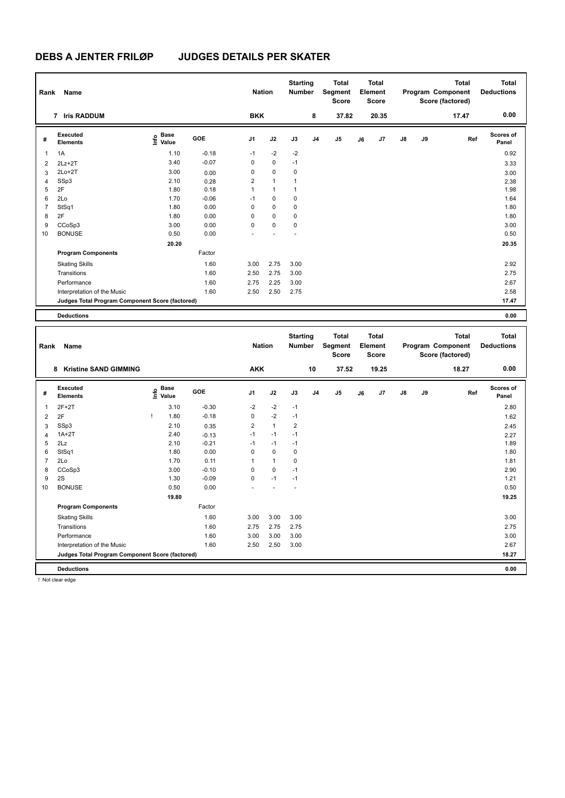| Rank           | Name                                            | <b>Nation</b>                    |         | <b>Starting</b><br><b>Number</b> |              | <b>Total</b><br>Segment<br><b>Score</b> |                | <b>Total</b><br>Element<br><b>Score</b> |    |       | <b>Total</b><br>Program Component<br>Score (factored) | <b>Total</b><br><b>Deductions</b> |       |                    |
|----------------|-------------------------------------------------|----------------------------------|---------|----------------------------------|--------------|-----------------------------------------|----------------|-----------------------------------------|----|-------|-------------------------------------------------------|-----------------------------------|-------|--------------------|
|                | 7 Iris RADDUM                                   |                                  |         | <b>BKK</b>                       |              |                                         | 8              | 37.82                                   |    | 20.35 |                                                       |                                   | 17.47 | 0.00               |
| #              | Executed<br><b>Elements</b>                     | <b>Base</b><br>e Base<br>⊆ Value | GOE     | J <sub>1</sub>                   | J2           | J3                                      | J <sub>4</sub> | J <sub>5</sub>                          | J6 | J7    | $\mathsf{J}8$                                         | J9                                | Ref   | Scores of<br>Panel |
| $\overline{1}$ | 1A                                              | 1.10                             | $-0.18$ | $-1$                             | $-2$         | $-2$                                    |                |                                         |    |       |                                                       |                                   |       | 0.92               |
| $\overline{2}$ | $2Lz+2T$                                        | 3.40                             | $-0.07$ | 0                                | $\mathbf 0$  | $-1$                                    |                |                                         |    |       |                                                       |                                   |       | 3.33               |
| 3              | $2Lo+2T$                                        | 3.00                             | 0.00    | 0                                | $\mathbf 0$  | $\mathbf 0$                             |                |                                         |    |       |                                                       |                                   |       | 3.00               |
| $\overline{4}$ | SSp3                                            | 2.10                             | 0.28    | $\overline{2}$                   | $\mathbf{1}$ | $\mathbf{1}$                            |                |                                         |    |       |                                                       |                                   |       | 2.38               |
| 5              | 2F                                              | 1.80                             | 0.18    | 1                                | $\mathbf{1}$ | 1                                       |                |                                         |    |       |                                                       |                                   |       | 1.98               |
| 6              | 2Lo                                             | 1.70                             | $-0.06$ | $-1$                             | $\mathbf 0$  | $\mathbf 0$                             |                |                                         |    |       |                                                       |                                   |       | 1.64               |
| $\overline{7}$ | StSq1                                           | 1.80                             | 0.00    | 0                                | $\mathbf 0$  | $\mathbf 0$                             |                |                                         |    |       |                                                       |                                   |       | 1.80               |
| 8              | 2F                                              | 1.80                             | 0.00    | $\Omega$                         | $\mathbf 0$  | 0                                       |                |                                         |    |       |                                                       |                                   |       | 1.80               |
| 9              | CCoSp3                                          | 3.00                             | 0.00    | 0                                | $\mathbf 0$  | $\mathbf 0$                             |                |                                         |    |       |                                                       |                                   |       | 3.00               |
| 10             | <b>BONUSE</b>                                   | 0.50                             | 0.00    |                                  |              |                                         |                |                                         |    |       |                                                       |                                   |       | 0.50               |
|                |                                                 | 20.20                            |         |                                  |              |                                         |                |                                         |    |       |                                                       |                                   |       | 20.35              |
|                | <b>Program Components</b>                       |                                  | Factor  |                                  |              |                                         |                |                                         |    |       |                                                       |                                   |       |                    |
|                | <b>Skating Skills</b>                           |                                  | 1.60    | 3.00                             | 2.75         | 3.00                                    |                |                                         |    |       |                                                       |                                   |       | 2.92               |
|                | Transitions                                     |                                  | 1.60    | 2.50                             | 2.75         | 3.00                                    |                |                                         |    |       |                                                       |                                   |       | 2.75               |
|                | Performance                                     |                                  | 1.60    | 2.75                             | 2.25         | 3.00                                    |                |                                         |    |       |                                                       |                                   |       | 2.67               |
|                | Interpretation of the Music                     |                                  | 1.60    | 2.50                             | 2.50         | 2.75                                    |                |                                         |    |       |                                                       |                                   |       | 2.58               |
|                | Judges Total Program Component Score (factored) |                                  |         |                                  |              |                                         |                |                                         |    |       |                                                       |                                   |       | 17.47              |
|                | <b>Deductions</b>                               |                                  |         |                                  |              |                                         |                |                                         |    |       |                                                       |                                   |       | 0.00               |

|                | Name<br>Rank<br><b>Kristine SAND GIMMING</b><br>8 |      |                      |         | <b>Nation</b>  |              | <b>Starting</b><br><b>Number</b> |                | <b>Total</b><br>Segment<br><b>Score</b> |    | <b>Total</b><br>Element<br><b>Score</b> |               |    | <b>Total</b><br>Program Component<br>Score (factored) | <b>Total</b><br><b>Deductions</b> |
|----------------|---------------------------------------------------|------|----------------------|---------|----------------|--------------|----------------------------------|----------------|-----------------------------------------|----|-----------------------------------------|---------------|----|-------------------------------------------------------|-----------------------------------|
|                |                                                   |      |                      |         | <b>AKK</b>     |              |                                  | 10             | 37.52                                   |    | 19.25                                   |               |    | 18.27                                                 | 0.00                              |
| #              | Executed<br><b>Elements</b>                       | lnfo | <b>Base</b><br>Value | GOE     | J <sub>1</sub> | J2           | J3                               | J <sub>4</sub> | J <sub>5</sub>                          | J6 | J7                                      | $\mathsf{J}8$ | J9 | Ref                                                   | Scores of<br>Panel                |
| $\mathbf{1}$   | $2F+2T$                                           |      | 3.10                 | $-0.30$ | $-2$           | $-2$         | $-1$                             |                |                                         |    |                                         |               |    |                                                       | 2.80                              |
| 2              | 2F                                                | т    | 1.80                 | $-0.18$ | 0              | $-2$         | $-1$                             |                |                                         |    |                                         |               |    |                                                       | 1.62                              |
| 3              | SSp3                                              |      | 2.10                 | 0.35    | $\overline{2}$ | $\mathbf{1}$ | $\overline{2}$                   |                |                                         |    |                                         |               |    |                                                       | 2.45                              |
| $\overline{4}$ | $1A+2T$                                           |      | 2.40                 | $-0.13$ | $-1$           | $-1$         | $-1$                             |                |                                         |    |                                         |               |    |                                                       | 2.27                              |
| 5              | 2Lz                                               |      | 2.10                 | $-0.21$ | $-1$           | $-1$         | $-1$                             |                |                                         |    |                                         |               |    |                                                       | 1.89                              |
| 6              | StSq1                                             |      | 1.80                 | 0.00    | 0              | $\mathbf 0$  | 0                                |                |                                         |    |                                         |               |    |                                                       | 1.80                              |
| $\overline{7}$ | 2Lo                                               |      | 1.70                 | 0.11    | 1              | $\mathbf{1}$ | 0                                |                |                                         |    |                                         |               |    |                                                       | 1.81                              |
| 8              | CCoSp3                                            |      | 3.00                 | $-0.10$ | 0              | $\mathbf 0$  | $-1$                             |                |                                         |    |                                         |               |    |                                                       | 2.90                              |
| 9              | 2S                                                |      | 1.30                 | $-0.09$ | 0              | $-1$         | $-1$                             |                |                                         |    |                                         |               |    |                                                       | 1.21                              |
| 10             | <b>BONUSE</b>                                     |      | 0.50                 | 0.00    |                |              |                                  |                |                                         |    |                                         |               |    |                                                       | 0.50                              |
|                |                                                   |      | 19.80                |         |                |              |                                  |                |                                         |    |                                         |               |    |                                                       | 19.25                             |
|                | <b>Program Components</b>                         |      |                      | Factor  |                |              |                                  |                |                                         |    |                                         |               |    |                                                       |                                   |
|                | <b>Skating Skills</b>                             |      |                      | 1.60    | 3.00           | 3.00         | 3.00                             |                |                                         |    |                                         |               |    |                                                       | 3.00                              |
|                | Transitions                                       |      |                      | 1.60    | 2.75           | 2.75         | 2.75                             |                |                                         |    |                                         |               |    |                                                       | 2.75                              |
|                | Performance                                       |      |                      | 1.60    | 3.00           | 3.00         | 3.00                             |                |                                         |    |                                         |               |    |                                                       | 3.00                              |
|                | Interpretation of the Music                       |      |                      | 1.60    | 2.50           | 2.50         | 3.00                             |                |                                         |    |                                         |               |    |                                                       | 2.67                              |
|                | Judges Total Program Component Score (factored)   |      |                      |         |                |              |                                  |                |                                         |    |                                         |               |    |                                                       | 18.27                             |
|                | <b>Deductions</b>                                 |      |                      |         |                |              |                                  |                |                                         |    |                                         |               |    |                                                       | 0.00                              |

! Not clear edge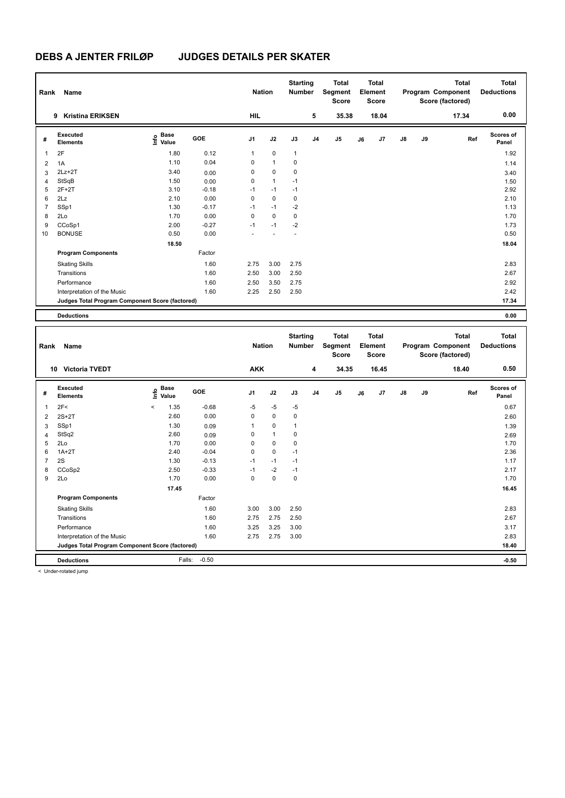| Rank           | Name                                            | <b>Nation</b>             |         | <b>Starting</b><br><b>Number</b> |              | <b>Total</b><br>Segment<br><b>Score</b> |                | <b>Total</b><br>Element<br><b>Score</b> |    |       | <b>Total</b><br>Program Component<br>Score (factored) | <b>Total</b><br><b>Deductions</b> |       |                    |
|----------------|-------------------------------------------------|---------------------------|---------|----------------------------------|--------------|-----------------------------------------|----------------|-----------------------------------------|----|-------|-------------------------------------------------------|-----------------------------------|-------|--------------------|
|                | <b>Kristina ERIKSEN</b><br>9                    |                           |         | <b>HIL</b>                       |              |                                         | 5              | 35.38                                   |    | 18.04 |                                                       |                                   | 17.34 | 0.00               |
| #              | Executed<br><b>Elements</b>                     | Base<br>e Base<br>⊆ Value | GOE     | J <sub>1</sub>                   | J2           | J3                                      | J <sub>4</sub> | J <sub>5</sub>                          | J6 | J7    | $\mathsf{J}8$                                         | J9                                | Ref   | Scores of<br>Panel |
| $\overline{1}$ | 2F                                              | 1.80                      | 0.12    | 1                                | $\mathbf 0$  | $\mathbf{1}$                            |                |                                         |    |       |                                                       |                                   |       | 1.92               |
| $\overline{2}$ | 1A                                              | 1.10                      | 0.04    | 0                                | $\mathbf{1}$ | $\mathbf 0$                             |                |                                         |    |       |                                                       |                                   |       | 1.14               |
| 3              | $2Lz+2T$                                        | 3.40                      | 0.00    | 0                                | $\mathbf 0$  | $\mathbf 0$                             |                |                                         |    |       |                                                       |                                   |       | 3.40               |
| $\overline{4}$ | StSqB                                           | 1.50                      | 0.00    | 0                                | $\mathbf{1}$ | $-1$                                    |                |                                         |    |       |                                                       |                                   |       | 1.50               |
| 5              | $2F+2T$                                         | 3.10                      | $-0.18$ | $-1$                             | $-1$         | $-1$                                    |                |                                         |    |       |                                                       |                                   |       | 2.92               |
| 6              | 2Lz                                             | 2.10                      | 0.00    | 0                                | $\mathbf 0$  | $\mathbf 0$                             |                |                                         |    |       |                                                       |                                   |       | 2.10               |
| $\overline{7}$ | SSp1                                            | 1.30                      | $-0.17$ | $-1$                             | $-1$         | $-2$                                    |                |                                         |    |       |                                                       |                                   |       | 1.13               |
| 8              | 2Lo                                             | 1.70                      | 0.00    | 0                                | $\mathbf 0$  | 0                                       |                |                                         |    |       |                                                       |                                   |       | 1.70               |
| 9              | CCoSp1                                          | 2.00                      | $-0.27$ | $-1$                             | $-1$         | $-2$                                    |                |                                         |    |       |                                                       |                                   |       | 1.73               |
| 10             | <b>BONUSE</b>                                   | 0.50                      | 0.00    |                                  |              |                                         |                |                                         |    |       |                                                       |                                   |       | 0.50               |
|                |                                                 | 18.50                     |         |                                  |              |                                         |                |                                         |    |       |                                                       |                                   |       | 18.04              |
|                | <b>Program Components</b>                       |                           | Factor  |                                  |              |                                         |                |                                         |    |       |                                                       |                                   |       |                    |
|                | <b>Skating Skills</b>                           |                           | 1.60    | 2.75                             | 3.00         | 2.75                                    |                |                                         |    |       |                                                       |                                   |       | 2.83               |
|                | Transitions                                     |                           | 1.60    | 2.50                             | 3.00         | 2.50                                    |                |                                         |    |       |                                                       |                                   |       | 2.67               |
|                | Performance                                     |                           | 1.60    | 2.50                             | 3.50         | 2.75                                    |                |                                         |    |       |                                                       |                                   |       | 2.92               |
|                | Interpretation of the Music                     |                           | 1.60    | 2.25                             | 2.50         | 2.50                                    |                |                                         |    |       |                                                       |                                   |       | 2.42               |
|                | Judges Total Program Component Score (factored) |                           |         |                                  |              |                                         |                |                                         |    |       |                                                       |                                   |       | 17.34              |
|                | <b>Deductions</b>                               |                           |         |                                  |              |                                         |                |                                         |    |       |                                                       |                                   |       | 0.00               |

| Rank           | Name                                            | <b>Nation</b> |                      | <b>Starting</b><br><b>Number</b> |                | <b>Total</b><br>Segment<br><b>Score</b> |              | Total<br>Element<br><b>Score</b> |                |    | <b>Total</b><br>Program Component<br>Score (factored) | <b>Total</b><br><b>Deductions</b> |    |       |                    |
|----------------|-------------------------------------------------|---------------|----------------------|----------------------------------|----------------|-----------------------------------------|--------------|----------------------------------|----------------|----|-------------------------------------------------------|-----------------------------------|----|-------|--------------------|
|                | <b>Victoria TVEDT</b><br>10                     |               |                      |                                  | <b>AKK</b>     |                                         |              | 4                                | 34.35          |    | 16.45                                                 |                                   |    | 18.40 | 0.50               |
| #              | Executed<br><b>Elements</b>                     | ۴٥            | <b>Base</b><br>Value | <b>GOE</b>                       | J <sub>1</sub> | J2                                      | J3           | J <sub>4</sub>                   | J <sub>5</sub> | J6 | J7                                                    | $\mathsf{J}8$                     | J9 | Ref   | Scores of<br>Panel |
| 1              | 2F<                                             | $\checkmark$  | 1.35                 | $-0.68$                          | $-5$           | $-5$                                    | $-5$         |                                  |                |    |                                                       |                                   |    |       | 0.67               |
| 2              | $2S+2T$                                         |               | 2.60                 | 0.00                             | 0              | $\mathbf 0$                             | 0            |                                  |                |    |                                                       |                                   |    |       | 2.60               |
| 3              | SSp1                                            |               | 1.30                 | 0.09                             | 1              | 0                                       | $\mathbf{1}$ |                                  |                |    |                                                       |                                   |    |       | 1.39               |
| 4              | StSq2                                           |               | 2.60                 | 0.09                             | 0              | $\mathbf{1}$                            | 0            |                                  |                |    |                                                       |                                   |    |       | 2.69               |
| 5              | 2Lo                                             |               | 1.70                 | 0.00                             | 0              | 0                                       | $\mathbf 0$  |                                  |                |    |                                                       |                                   |    |       | 1.70               |
| 6              | $1A+2T$                                         |               | 2.40                 | $-0.04$                          | 0              | $\mathbf 0$                             | $-1$         |                                  |                |    |                                                       |                                   |    |       | 2.36               |
| $\overline{7}$ | 2S                                              |               | 1.30                 | $-0.13$                          | $-1$           | $-1$                                    | $-1$         |                                  |                |    |                                                       |                                   |    |       | 1.17               |
| 8              | CCoSp2                                          |               | 2.50                 | $-0.33$                          | $-1$           | $-2$                                    | $-1$         |                                  |                |    |                                                       |                                   |    |       | 2.17               |
| 9              | 2Lo                                             |               | 1.70                 | 0.00                             | 0              | $\mathbf 0$                             | $\mathbf 0$  |                                  |                |    |                                                       |                                   |    |       | 1.70               |
|                |                                                 |               | 17.45                |                                  |                |                                         |              |                                  |                |    |                                                       |                                   |    |       | 16.45              |
|                | <b>Program Components</b>                       |               |                      | Factor                           |                |                                         |              |                                  |                |    |                                                       |                                   |    |       |                    |
|                | <b>Skating Skills</b>                           |               |                      | 1.60                             | 3.00           | 3.00                                    | 2.50         |                                  |                |    |                                                       |                                   |    |       | 2.83               |
|                | Transitions                                     |               |                      | 1.60                             | 2.75           | 2.75                                    | 2.50         |                                  |                |    |                                                       |                                   |    |       | 2.67               |
|                | Performance                                     |               |                      | 1.60                             | 3.25           | 3.25                                    | 3.00         |                                  |                |    |                                                       |                                   |    |       | 3.17               |
|                | Interpretation of the Music                     |               |                      | 1.60                             | 2.75           | 2.75                                    | 3.00         |                                  |                |    |                                                       |                                   |    |       | 2.83               |
|                | Judges Total Program Component Score (factored) |               |                      |                                  |                |                                         |              |                                  |                |    |                                                       |                                   |    |       | 18.40              |
|                | <b>Deductions</b>                               |               | Falls:               | $-0.50$                          |                |                                         |              |                                  |                |    |                                                       |                                   |    |       | $-0.50$            |

< Under-rotated jump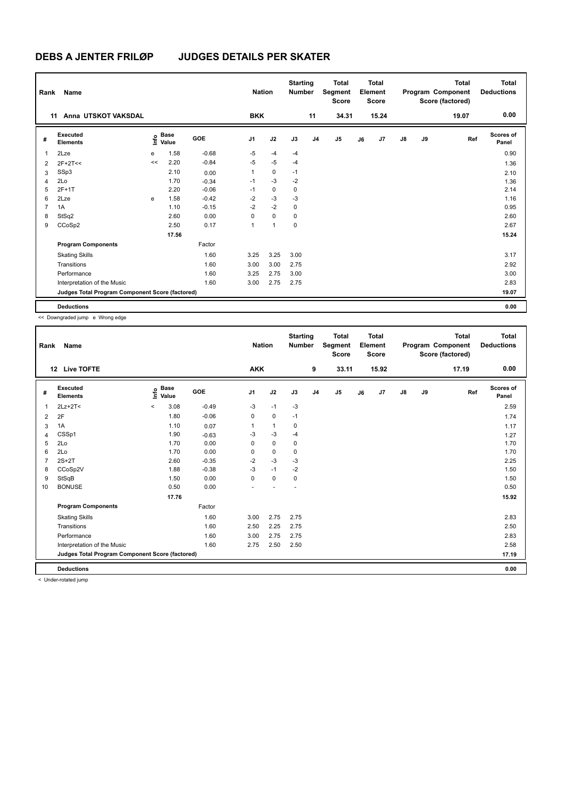| Rank           | Name                                            |    |                                             |         | <b>Nation</b> |                | <b>Starting</b><br><b>Number</b> |                | <b>Total</b><br>Segment<br><b>Score</b> |    | <b>Total</b><br>Element<br><b>Score</b> |    |    | <b>Total</b><br>Program Component<br>Score (factored) | <b>Total</b><br><b>Deductions</b> |
|----------------|-------------------------------------------------|----|---------------------------------------------|---------|---------------|----------------|----------------------------------|----------------|-----------------------------------------|----|-----------------------------------------|----|----|-------------------------------------------------------|-----------------------------------|
|                | Anna UTSKOT VAKSDAL<br>11                       |    |                                             |         | <b>BKK</b>    |                |                                  | 11             | 34.31                                   |    | 15.24                                   |    |    | 19.07                                                 | 0.00                              |
| #              | <b>Executed</b><br><b>Elements</b>              |    | <b>Base</b><br>e <sup>Base</sup><br>⊆ Value | GOE     | J1            | J2             | J3                               | J <sub>4</sub> | J <sub>5</sub>                          | J6 | J7                                      | J8 | J9 | Ref                                                   | <b>Scores of</b><br>Panel         |
| 1              | 2Lze                                            | e  | 1.58                                        | $-0.68$ | $-5$          | $-4$           | $-4$                             |                |                                         |    |                                         |    |    |                                                       | 0.90                              |
| 2              | $2F+2T<<$                                       | << | 2.20                                        | $-0.84$ | $-5$          | $-5$           | $-4$                             |                |                                         |    |                                         |    |    |                                                       | 1.36                              |
| 3              | SSp3                                            |    | 2.10                                        | 0.00    | 1             | $\mathbf 0$    | $-1$                             |                |                                         |    |                                         |    |    |                                                       | 2.10                              |
| 4              | 2Lo                                             |    | 1.70                                        | $-0.34$ | $-1$          | $-3$           | $-2$                             |                |                                         |    |                                         |    |    |                                                       | 1.36                              |
| 5              | $2F+1T$                                         |    | 2.20                                        | $-0.06$ | $-1$          | 0              | 0                                |                |                                         |    |                                         |    |    |                                                       | 2.14                              |
| 6              | 2Lze                                            | e  | 1.58                                        | $-0.42$ | $-2$          | $-3$           | $-3$                             |                |                                         |    |                                         |    |    |                                                       | 1.16                              |
| $\overline{7}$ | 1A                                              |    | 1.10                                        | $-0.15$ | $-2$          | $-2$           | $\mathbf 0$                      |                |                                         |    |                                         |    |    |                                                       | 0.95                              |
| 8              | StSq2                                           |    | 2.60                                        | 0.00    | $\Omega$      | $\mathbf 0$    | 0                                |                |                                         |    |                                         |    |    |                                                       | 2.60                              |
| 9              | CCoSp2                                          |    | 2.50                                        | 0.17    | 1             | $\overline{1}$ | 0                                |                |                                         |    |                                         |    |    |                                                       | 2.67                              |
|                |                                                 |    | 17.56                                       |         |               |                |                                  |                |                                         |    |                                         |    |    |                                                       | 15.24                             |
|                | <b>Program Components</b>                       |    |                                             | Factor  |               |                |                                  |                |                                         |    |                                         |    |    |                                                       |                                   |
|                | <b>Skating Skills</b>                           |    |                                             | 1.60    | 3.25          | 3.25           | 3.00                             |                |                                         |    |                                         |    |    |                                                       | 3.17                              |
|                | Transitions                                     |    |                                             | 1.60    | 3.00          | 3.00           | 2.75                             |                |                                         |    |                                         |    |    |                                                       | 2.92                              |
|                | Performance                                     |    |                                             | 1.60    | 3.25          | 2.75           | 3.00                             |                |                                         |    |                                         |    |    |                                                       | 3.00                              |
|                | Interpretation of the Music                     |    |                                             | 1.60    | 3.00          | 2.75           | 2.75                             |                |                                         |    |                                         |    |    |                                                       | 2.83                              |
|                | Judges Total Program Component Score (factored) |    |                                             |         |               |                |                                  |                |                                         |    |                                         |    |    |                                                       | 19.07                             |
|                | <b>Deductions</b>                               |    |                                             |         |               |                |                                  |                |                                         |    |                                         |    |    |                                                       | 0.00                              |

<< Downgraded jump e Wrong edge

| Rank           | Name                                            |         |                      |            | <b>Nation</b>  |      | <b>Starting</b><br><b>Number</b> |                | <b>Total</b><br>Segment<br><b>Score</b> |    | <b>Total</b><br>Element<br><b>Score</b> |               |    | <b>Total</b><br>Program Component<br>Score (factored) | <b>Total</b><br><b>Deductions</b> |
|----------------|-------------------------------------------------|---------|----------------------|------------|----------------|------|----------------------------------|----------------|-----------------------------------------|----|-----------------------------------------|---------------|----|-------------------------------------------------------|-----------------------------------|
|                | 12<br><b>Live TOFTE</b>                         |         |                      |            | <b>AKK</b>     |      |                                  | 9              | 33.11                                   |    | 15.92                                   |               |    | 17.19                                                 | 0.00                              |
| #              | Executed<br><b>Elements</b>                     | ١nf٥    | <b>Base</b><br>Value | <b>GOE</b> | J <sub>1</sub> | J2   | J3                               | J <sub>4</sub> | J <sub>5</sub>                          | J6 | J7                                      | $\mathsf{J}8$ | J9 | Ref                                                   | <b>Scores of</b><br>Panel         |
| 1              | $2Lz+2T<$                                       | $\prec$ | 3.08                 | $-0.49$    | $-3$           | $-1$ | $-3$                             |                |                                         |    |                                         |               |    |                                                       | 2.59                              |
| $\overline{2}$ | 2F                                              |         | 1.80                 | $-0.06$    | 0              | 0    | $-1$                             |                |                                         |    |                                         |               |    |                                                       | 1.74                              |
| 3              | 1A                                              |         | 1.10                 | 0.07       | 1              | 1    | $\Omega$                         |                |                                         |    |                                         |               |    |                                                       | 1.17                              |
| 4              | CSSp1                                           |         | 1.90                 | $-0.63$    | $-3$           | $-3$ | $-4$                             |                |                                         |    |                                         |               |    |                                                       | 1.27                              |
| 5              | 2Lo                                             |         | 1.70                 | 0.00       | 0              | 0    | $\mathbf 0$                      |                |                                         |    |                                         |               |    |                                                       | 1.70                              |
| 6              | 2Lo                                             |         | 1.70                 | 0.00       | $\Omega$       | 0    | $\mathbf 0$                      |                |                                         |    |                                         |               |    |                                                       | 1.70                              |
| 7              | $2S+2T$                                         |         | 2.60                 | $-0.35$    | $-2$           | $-3$ | $-3$                             |                |                                         |    |                                         |               |    |                                                       | 2.25                              |
| 8              | CCoSp2V                                         |         | 1.88                 | $-0.38$    | $-3$           | $-1$ | $-2$                             |                |                                         |    |                                         |               |    |                                                       | 1.50                              |
| 9              | StSqB                                           |         | 1.50                 | 0.00       | $\Omega$       | 0    | $\mathbf 0$                      |                |                                         |    |                                         |               |    |                                                       | 1.50                              |
| 10             | <b>BONUSE</b>                                   |         | 0.50                 | 0.00       |                |      |                                  |                |                                         |    |                                         |               |    |                                                       | 0.50                              |
|                |                                                 |         | 17.76                |            |                |      |                                  |                |                                         |    |                                         |               |    |                                                       | 15.92                             |
|                | <b>Program Components</b>                       |         |                      | Factor     |                |      |                                  |                |                                         |    |                                         |               |    |                                                       |                                   |
|                | <b>Skating Skills</b>                           |         |                      | 1.60       | 3.00           | 2.75 | 2.75                             |                |                                         |    |                                         |               |    |                                                       | 2.83                              |
|                | Transitions                                     |         |                      | 1.60       | 2.50           | 2.25 | 2.75                             |                |                                         |    |                                         |               |    |                                                       | 2.50                              |
|                | Performance                                     |         |                      | 1.60       | 3.00           | 2.75 | 2.75                             |                |                                         |    |                                         |               |    |                                                       | 2.83                              |
|                | Interpretation of the Music                     |         |                      | 1.60       | 2.75           | 2.50 | 2.50                             |                |                                         |    |                                         |               |    |                                                       | 2.58                              |
|                | Judges Total Program Component Score (factored) |         |                      |            |                |      |                                  |                |                                         |    |                                         |               |    |                                                       | 17.19                             |
|                | <b>Deductions</b>                               |         |                      |            |                |      |                                  |                |                                         |    |                                         |               |    |                                                       | 0.00                              |

< Under-rotated jump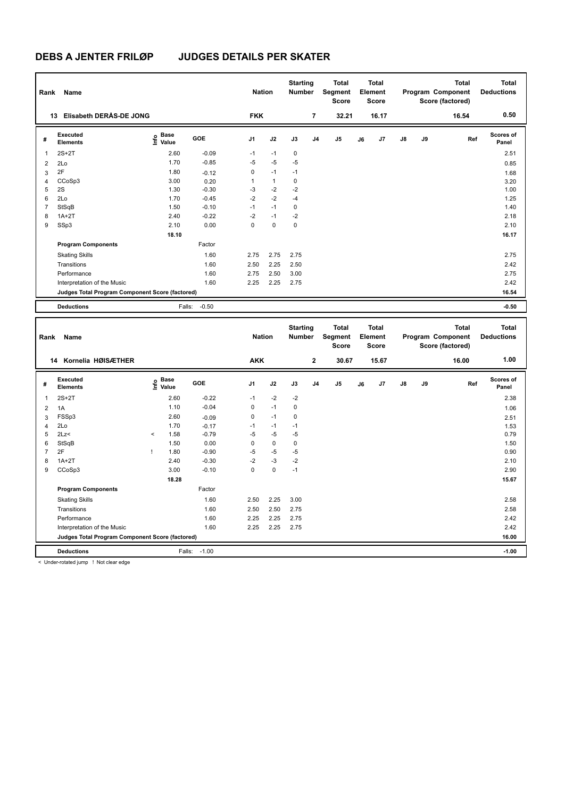| Rank           | Name                                            |                                   |            | <b>Nation</b>  |              | <b>Starting</b><br><b>Number</b> |                | <b>Total</b><br>Segment<br><b>Score</b> |    | <b>Total</b><br>Element<br><b>Score</b> |    |    | <b>Total</b><br>Program Component<br>Score (factored) | <b>Total</b><br><b>Deductions</b> |
|----------------|-------------------------------------------------|-----------------------------------|------------|----------------|--------------|----------------------------------|----------------|-----------------------------------------|----|-----------------------------------------|----|----|-------------------------------------------------------|-----------------------------------|
|                | 13 Elisabeth DERÅS-DE JONG                      |                                   |            | <b>FKK</b>     |              |                                  | $\overline{7}$ | 32.21                                   |    | 16.17                                   |    |    | 16.54                                                 | 0.50                              |
| #              | <b>Executed</b><br><b>Elements</b>              | <b>Base</b><br>e Base<br>⊆ Value  | <b>GOE</b> | J1             | J2           | J3                               | J <sub>4</sub> | J5                                      | J6 | J7                                      | J8 | J9 | Ref                                                   | Scores of<br>Panel                |
| $\overline{1}$ | $2S+2T$                                         | 2.60                              | $-0.09$    | $-1$           | $-1$         | $\mathbf 0$                      |                |                                         |    |                                         |    |    |                                                       | 2.51                              |
| $\overline{2}$ | 2Lo                                             | 1.70                              | $-0.85$    | $-5$           | $-5$         | $-5$                             |                |                                         |    |                                         |    |    |                                                       | 0.85                              |
| 3              | 2F                                              | 1.80                              | $-0.12$    | $\mathbf 0$    | $-1$         | $-1$                             |                |                                         |    |                                         |    |    |                                                       | 1.68                              |
| $\overline{4}$ | CCoSp3                                          | 3.00                              | 0.20       | $\mathbf{1}$   | $\mathbf{1}$ | $\mathbf 0$                      |                |                                         |    |                                         |    |    |                                                       | 3.20                              |
| 5              | 2S                                              | 1.30                              | $-0.30$    | -3             | $-2$         | $-2$                             |                |                                         |    |                                         |    |    |                                                       | 1.00                              |
| 6              | 2Lo                                             | 1.70                              | $-0.45$    | $-2$           | $-2$         | -4                               |                |                                         |    |                                         |    |    |                                                       | 1.25                              |
| $\overline{7}$ | StSqB                                           | 1.50                              | $-0.10$    | $-1$           | $-1$         | $\pmb{0}$                        |                |                                         |    |                                         |    |    |                                                       | 1.40                              |
| 8              | $1A+2T$                                         | 2.40                              | $-0.22$    | $-2$           | $-1$         | $-2$                             |                |                                         |    |                                         |    |    |                                                       | 2.18                              |
| 9              | SSp3                                            | 2.10                              | 0.00       | $\mathbf{0}$   | $\Omega$     | $\mathbf{0}$                     |                |                                         |    |                                         |    |    |                                                       | 2.10                              |
|                |                                                 | 18.10                             |            |                |              |                                  |                |                                         |    |                                         |    |    |                                                       | 16.17                             |
|                | <b>Program Components</b>                       |                                   | Factor     |                |              |                                  |                |                                         |    |                                         |    |    |                                                       |                                   |
|                | <b>Skating Skills</b>                           |                                   | 1.60       | 2.75           | 2.75         | 2.75                             |                |                                         |    |                                         |    |    |                                                       | 2.75                              |
|                | Transitions                                     |                                   | 1.60       | 2.50           | 2.25         | 2.50                             |                |                                         |    |                                         |    |    |                                                       | 2.42                              |
|                | Performance                                     |                                   | 1.60       | 2.75           | 2.50         | 3.00                             |                |                                         |    |                                         |    |    |                                                       | 2.75                              |
|                | Interpretation of the Music                     |                                   | 1.60       | 2.25           | 2.25         | 2.75                             |                |                                         |    |                                         |    |    |                                                       | 2.42                              |
|                | Judges Total Program Component Score (factored) |                                   |            |                |              |                                  |                |                                         |    |                                         |    |    |                                                       | 16.54                             |
|                | <b>Deductions</b>                               | Falls:                            | $-0.50$    |                |              |                                  |                |                                         |    |                                         |    |    |                                                       | $-0.50$                           |
|                |                                                 |                                   |            |                |              |                                  |                |                                         |    |                                         |    |    |                                                       |                                   |
| Rank           | Name                                            |                                   |            | <b>Nation</b>  |              | <b>Starting</b><br>Number        |                | <b>Total</b><br>Segment<br><b>Score</b> |    | <b>Total</b><br>Element<br><b>Score</b> |    |    | <b>Total</b><br>Program Component<br>Score (factored) | <b>Total</b><br><b>Deductions</b> |
|                | 14 Kornelia HØISÆTHER                           |                                   |            | <b>AKK</b>     |              |                                  | $\bf 2$        | 30.67                                   |    | 15.67                                   |    |    | 16.00                                                 | 1.00                              |
| #              | Executed<br><b>Elements</b>                     | <b>Base</b><br>$\frac{6}{5}$ Base | <b>GOE</b> | J <sub>1</sub> | J2           | J3                               | J <sub>4</sub> | J5                                      | J6 | J7                                      | J8 | J9 | Ref                                                   | Scores of<br>Panel                |
| $\mathbf{1}$   | $2S+2T$                                         | 2.60                              | $-0.22$    | $-1$           | $-2$         | $-2$                             |                |                                         |    |                                         |    |    |                                                       | 2.38                              |
| $\overline{2}$ | 1A                                              | 1.10                              | $-0.04$    | 0              | $-1$         | $\mathbf 0$                      |                |                                         |    |                                         |    |    |                                                       | 1.06                              |
| 3              | FSSp3                                           | 2.60                              | $-0.09$    | $\mathsf 0$    | $-1$         | $\mathbf 0$                      |                |                                         |    |                                         |    |    |                                                       | 2.51                              |
| $\overline{4}$ | 2Lo                                             | 1.70                              | $-0.17$    | $-1$           | $-1$         | $-1$                             |                |                                         |    |                                         |    |    |                                                       | 1.53                              |
| 5              | 2Lz<                                            | $\prec$<br>1.58                   | $-0.79$    | $-5$           | $-5$         | $-5$                             |                |                                         |    |                                         |    |    |                                                       | 0.79                              |
| 6              | StSqB                                           | 1.50                              | 0.00       | $\mathbf 0$    | $\mathbf 0$  | $\mathbf 0$                      |                |                                         |    |                                         |    |    |                                                       | 1.50                              |
| $\overline{7}$ | 2F                                              | 1.80<br>Ţ                         | $-0.90$    | $-5$           | $-5$         | $-5$                             |                |                                         |    |                                         |    |    |                                                       | 0.90                              |
| 8              | $1A+2T$                                         | 2.40                              | $-0.30$    | $-2$           | $-3$         | $-2$                             |                |                                         |    |                                         |    |    |                                                       | 2.10                              |
| 9              | CCoSp3                                          | 3.00                              | $-0.10$    | $\mathbf 0$    | 0            | $-1$                             |                |                                         |    |                                         |    |    |                                                       | 2.90                              |
|                |                                                 | 18.28                             |            |                |              |                                  |                |                                         |    |                                         |    |    |                                                       | 15.67                             |
|                | <b>Program Components</b>                       |                                   | Factor     |                |              |                                  |                |                                         |    |                                         |    |    |                                                       |                                   |

Skating Skills 2.50 2.25 3.00 1.60 2.58

Transitions 1.60 2.50 2.50 2.75 2.58 Performance 1.60 2.25 2.25 2.75 2.42

**Deductions** Falls: -1.00 **-1.00 Judges Total Program Component Score (factored) 16.00**

Interpretation of the Music

< Under-rotated jump ! Not clear edge